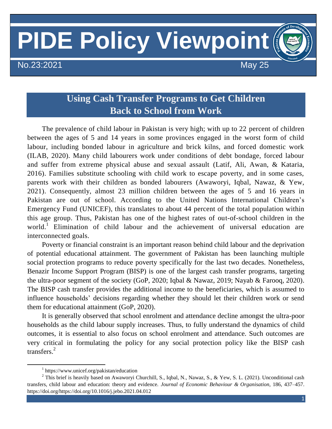# **PIDE Policy Viewpoint**

No.23:2021 May 25

# **Using Cash Transfer Programs to Get Children Back to School from Work**

The prevalence of child labour in Pakistan is very high; with up to 22 percent of children between the ages of 5 and 14 years in some provinces engaged in the worst form of child labour, including bonded labour in agriculture and brick kilns, and forced domestic work (ILAB, 2020). Many child labourers work under conditions of debt bondage, forced labour and suffer from extreme physical abuse and sexual assault (Latif, Ali, Awan, & Kataria, 2016). Families substitute schooling with child work to escape poverty, and in some cases, parents work with their children as bonded labourers (Awaworyi, Iqbal, Nawaz, & Yew, 2021). Consequently, almost 23 million children between the ages of 5 and 16 years in Pakistan are out of school. According to the United Nations International Children's Emergency Fund (UNICEF), this translates to about 44 percent of the total population within this age group. Thus, Pakistan has one of the highest rates of out-of-school children in the world.<sup>1</sup> Elimination of child labour and the achievement of universal education are interconnected goals.

Poverty or financial constraint is an important reason behind child labour and the deprivation of potential educational attainment. The government of Pakistan has been launching multiple social protection programs to reduce poverty specifically for the last two decades. Nonetheless, Benazir Income Support Program (BISP) is one of the largest cash transfer programs, targeting the ultra-poor segment of the society (GoP, 2020; Iqbal & Nawaz, 2019; Nayab & Farooq, 2020). The BISP cash transfer provides the additional income to the beneficiaries, which is assumed to influence households' decisions regarding whether they should let their children work or send them for educational attainment (GoP, 2020).

It is generally observed that school enrolment and attendance decline amongst the ultra-poor households as the child labour supply increases. Thus, to fully understand the dynamics of child outcomes, it is essential to also focus on school enrolment and attendance. Such outcomes are very critical in formulating the policy for any social protection policy like the BISP cash transfers. 2

 $\overline{a}$ 

<sup>1</sup> https://www.unicef.org/pakistan/education

 $2$  This brief is heavily based on Awaworyi Churchill, S., Iqbal, N., Nawaz, S., & Yew, S. L. (2021). Unconditional cash transfers, child labour and education: theory and evidence. *Journal of Economic Behaviour & Organisation*, 186, 437–457. https://doi.org/https://doi.org/10.1016/j.jebo.2021.04.012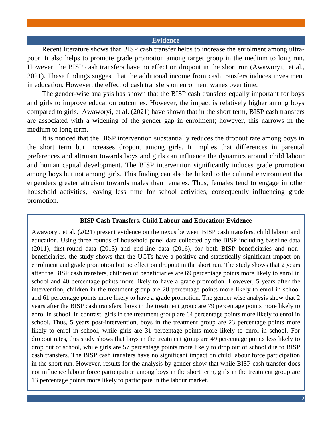### **Evidence**

Recent literature shows that BISP cash transfer helps to increase the enrolment among ultrapoor. It also helps to promote grade promotion among target group in the medium to long run. However, the BISP cash transfers have no effect on dropout in the short run (Awaworyi, et al., 2021). These findings suggest that the additional income from cash transfers induces investment in education. However, the effect of cash transfers on enrolment wanes over time.

The gender-wise analysis has shown that the BISP cash transfers equally important for boys and girls to improve education outcomes. However, the impact is relatively higher among boys compared to girls. Awaworyi, et al. (2021) have shown that in the short term, BISP cash transfers are associated with a widening of the gender gap in enrolment; however, this narrows in the medium to long term.

It is noticed that the BISP intervention substantially reduces the dropout rate among boys in the short term but increases dropout among girls. It implies that differences in parental preferences and altruism towards boys and girls can influence the dynamics around child labour and human capital development. The BISP intervention significantly induces grade promotion among boys but not among girls. This finding can also be linked to the cultural environment that engenders greater altruism towards males than females. Thus, females tend to engage in other household activities, leaving less time for school activities, consequently influencing grade promotion.

#### **BISP Cash Transfers, Child Labour and Education: Evidence**

Awaworyi, et al. (2021) present evidence on the nexus between BISP cash transfers, child labour and education. Using three rounds of household panel data collected by the BISP including baseline data (2011), first-round data (2013) and end-line data (2016), for both BISP beneficiaries and nonbeneficiaries, the study shows that the UCTs have a positive and statistically significant impact on enrolment and grade promotion but no effect on dropout in the short run. The study shows that 2 years after the BISP cash transfers, children of beneficiaries are 69 percentage points more likely to enrol in school and 40 percentage points more likely to have a grade promotion. However, 5 years after the intervention, children in the treatment group are 28 percentage points more likely to enrol in school and 61 percentage points more likely to have a grade promotion. The gender wise analysis show that 2 years after the BISP cash transfers, boys in the treatment group are 79 percentage points more likely to enrol in school. In contrast, girls in the treatment group are 64 percentage points more likely to enrol in school. Thus, 5 years post-intervention, boys in the treatment group are 23 percentage points more likely to enrol in school, while girls are 31 percentage points more likely to enrol in school. For dropout rates, this study shows that boys in the treatment group are 49 percentage points less likely to drop out of school, while girls are 57 percentage points more likely to drop out of school due to BISP cash transfers. The BISP cash transfers have no significant impact on child labour force participation in the short run. However, results for the analysis by gender show that while BISP cash transfer does not influence labour force participation among boys in the short term, girls in the treatment group are 13 percentage points more likely to participate in the labour market.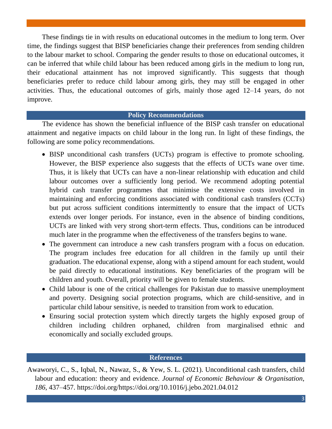These findings tie in with results on educational outcomes in the medium to long term. Over time, the findings suggest that BISP beneficiaries change their preferences from sending children to the labour market to school. Comparing the gender results to those on educational outcomes, it can be inferred that while child labour has been reduced among girls in the medium to long run, their educational attainment has not improved significantly. This suggests that though beneficiaries prefer to reduce child labour among girls, they may still be engaged in other activities. Thus, the educational outcomes of girls, mainly those aged 12–14 years, do not improve.

## **Policy Recommendations**

The evidence has shown the beneficial influence of the BISP cash transfer on educational attainment and negative impacts on child labour in the long run. In light of these findings, the following are some policy recommendations.

- BISP unconditional cash transfers (UCTs) program is effective to promote schooling. However, the BISP experience also suggests that the effects of UCTs wane over time. Thus, it is likely that UCTs can have a non-linear relationship with education and child labour outcomes over a sufficiently long period. We recommend adopting potential hybrid cash transfer programmes that minimise the extensive costs involved in maintaining and enforcing conditions associated with conditional cash transfers (CCTs) but put across sufficient conditions intermittently to ensure that the impact of UCTs extends over longer periods. For instance, even in the absence of binding conditions, UCTs are linked with very strong short-term effects. Thus, conditions can be introduced much later in the programme when the effectiveness of the transfers begins to wane.
- The government can introduce a new cash transfers program with a focus on education. The program includes free education for all children in the family up until their graduation. The educational expense, along with a stipend amount for each student, would be paid directly to educational institutions. Key beneficiaries of the program will be children and youth. Overall, priority will be given to female students.
- Child labour is one of the critical challenges for Pakistan due to massive unemployment and poverty. Designing social protection programs, which are child-sensitive, and in particular child labour sensitive, is needed to transition from work to education.
- Ensuring social protection system which directly targets the highly exposed group of children including children orphaned, children from marginalised ethnic and economically and socially excluded groups.

# **References**

Awaworyi, C., S., Iqbal, N., Nawaz, S., & Yew, S. L. (2021). Unconditional cash transfers, child labour and education: theory and evidence. *Journal of Economic Behaviour & Organisation*, *186*, 437–457. https://doi.org/https://doi.org/10.1016/j.jebo.2021.04.012